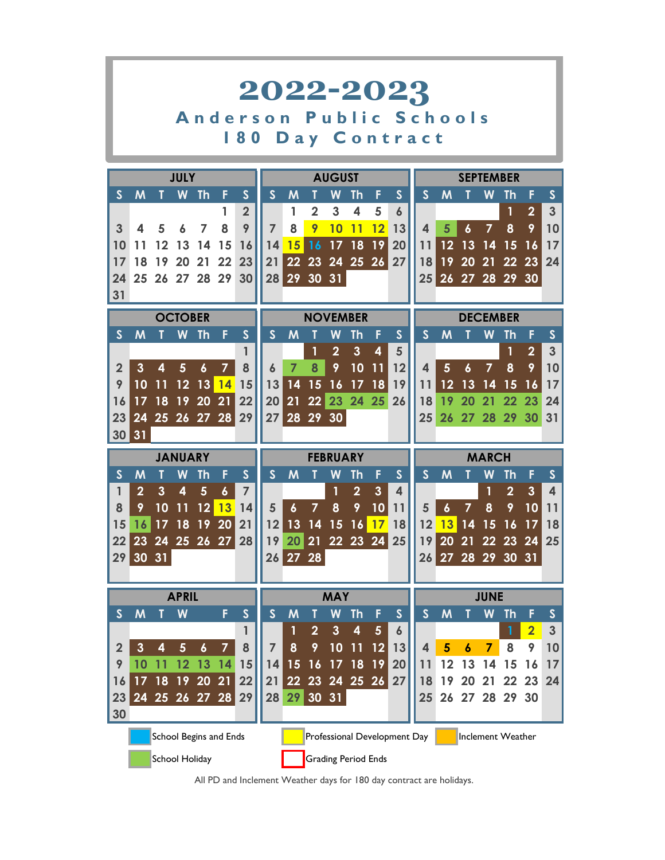|                |                                                                                                                                                                                                                            |          |                         |                  |                  |                         | 2022-2023      |                       |                     |                             |                |                         |                              |                       |                  |                        |                   |                |                              |              |
|----------------|----------------------------------------------------------------------------------------------------------------------------------------------------------------------------------------------------------------------------|----------|-------------------------|------------------|------------------|-------------------------|----------------|-----------------------|---------------------|-----------------------------|----------------|-------------------------|------------------------------|-----------------------|------------------|------------------------|-------------------|----------------|------------------------------|--------------|
|                |                                                                                                                                                                                                                            |          |                         |                  |                  |                         | Anderson       |                       |                     |                             |                |                         |                              | <b>Public Schools</b> |                  |                        |                   |                |                              |              |
|                |                                                                                                                                                                                                                            |          |                         |                  |                  | <b>80</b>               |                |                       |                     |                             |                |                         |                              | <b>Day Contract</b>   |                  |                        |                   |                |                              |              |
|                |                                                                                                                                                                                                                            |          |                         |                  |                  |                         |                |                       |                     |                             |                |                         |                              |                       |                  |                        |                   |                |                              |              |
|                |                                                                                                                                                                                                                            |          | <b>JULY</b>             |                  |                  |                         |                |                       |                     | <b>AUGUST</b>               |                |                         |                              |                       |                  |                        | <b>SEPTEMBER</b>  |                |                              |              |
| $\mathsf{S}$   | M                                                                                                                                                                                                                          |          | W                       | Th               | F                | $\mathsf{S}$            | $\mathsf{S}$   | M                     | Т                   | W                           | Th             | F                       | $\mathsf{S}$                 | $\mathsf{S}$          | M                | Τ                      | W                 | Th             | F                            | S            |
|                |                                                                                                                                                                                                                            |          |                         |                  | 1<br>8           | $\overline{2}$<br>9     | $\overline{7}$ | 1                     | $\overline{2}$      | 3                           | 4              | 5                       | 6                            |                       |                  |                        | 7                 | 1              | $\overline{2}$<br>9          | 3            |
| 3<br>10        | 4<br>11                                                                                                                                                                                                                    | 5<br>12  |                         | 7<br>14          | 15               | 16                      | 14             | 8<br>15               | 9<br>16             | 10<br>17                    | 11<br>18       | 12<br> 19               | 13<br>20                     | 4<br>11               | 5<br>12          | $\boldsymbol{6}$<br>13 | 14                | 8<br>15        |                              | 10<br>17     |
| 17             | 18                                                                                                                                                                                                                         | 19       | 13<br>20                | 21               | 22               | 23                      | 21             |                       | $22\overline{23}$   | 24 25 26                    |                |                         | 27                           | 18                    | 19               | 20                     | 21                | 22             | 16<br>23                     | 24           |
| 24             |                                                                                                                                                                                                                            |          | 25 26 27 28 29          |                  |                  | 30                      | 28             |                       |                     | 29 30 31                    |                |                         |                              | $25\,$                |                  |                        | 26 27 28 29 30    |                |                              |              |
| 31             |                                                                                                                                                                                                                            |          |                         |                  |                  |                         |                |                       |                     |                             |                |                         |                              |                       |                  |                        |                   |                |                              |              |
|                | <b>OCTOBER</b><br><b>NOVEMBER</b><br><b>DECEMBER</b><br>$\mathsf{S}$<br>$\mathsf{S}$<br>$\mathsf{S}$<br>$\mathsf{S}$<br>$\mathsf{S}$<br>W<br><b>Th</b><br>W<br>F<br>$\mathsf{S}$<br>M<br>F<br>M<br>Th<br>M<br>W<br>Th<br>F |          |                         |                  |                  |                         |                |                       |                     |                             |                |                         |                              |                       |                  |                        |                   |                |                              |              |
|                |                                                                                                                                                                                                                            |          |                         |                  |                  |                         |                |                       |                     |                             |                |                         |                              |                       |                  |                        |                   |                |                              |              |
|                |                                                                                                                                                                                                                            |          |                         |                  |                  | 1                       |                |                       | 1                   | $\overline{2}$              | $\overline{3}$ | 4                       | 5                            |                       |                  |                        |                   | $\mathbf{1}$   | $\overline{2}$               | 3            |
| $\overline{2}$ | 3                                                                                                                                                                                                                          | 4        | 5                       | $\boldsymbol{6}$ | $\overline{7}$   | 8                       | 6              | $\overline{7}$        | 8                   | 9                           | 10             | 11                      | 12                           | 4                     | 5                | $\boldsymbol{6}$       | $\overline{7}$    | 8              | 9                            | 10           |
| 9              | 14<br>14<br>10<br> 13 <br>13<br>15<br>16<br>17<br><b>18</b><br>19<br>17<br>12<br>15<br>12<br>13<br>15<br>11<br>11<br>14<br>16                                                                                              |          |                         |                  |                  |                         |                |                       |                     |                             |                |                         |                              |                       |                  |                        |                   |                |                              |              |
| 16             | 17                                                                                                                                                                                                                         | 18       | 19                      | 20               | 21               | 22                      | 20             | 21                    |                     | 22 23 24 25                 |                |                         | 26                           | 18                    | 19               | 20                     | 21                | 22             | 23                           | 24           |
| 23             | 24                                                                                                                                                                                                                         |          | 25 26 27 28             |                  |                  | 29                      | 27             |                       |                     | 28 29 30                    |                |                         |                              | 25                    |                  | 26 27 28               |                   | 29             | 30                           | 31           |
| 30             | 31                                                                                                                                                                                                                         |          |                         |                  |                  |                         |                |                       |                     |                             |                |                         |                              |                       |                  |                        |                   |                |                              |              |
|                |                                                                                                                                                                                                                            |          | <b>JANUARY</b>          |                  |                  |                         |                |                       |                     | <b>FEBRUARY</b>             |                |                         |                              |                       |                  |                        | <b>MARCH</b>      |                |                              |              |
| $\mathsf{S}$   | M                                                                                                                                                                                                                          |          | W                       | Th               | F                | $\mathsf{S}$            | $\mathsf{S}$   | M                     | Т                   | W                           | Th             | F                       | $\mathsf{S}$                 | $\mathsf{S}$          | M                |                        | W                 | Th             | F                            | $\mathsf{S}$ |
| 1              | $\overline{2}$                                                                                                                                                                                                             | 3        | $\overline{\mathbf{4}}$ | 5                | $\boldsymbol{6}$ | $\overline{7}$          |                |                       |                     | 1                           | $\overline{2}$ | $\overline{\mathbf{3}}$ | 4                            |                       |                  |                        | 1                 | $\overline{2}$ | 3                            | 4            |
| 8              | 9                                                                                                                                                                                                                          | 10       | 11                      | 12               | <b>13</b>        | 14                      | 5              | $\boldsymbol{6}$      | $\overline{7}$      | 8                           | 9              | 10                      | 11                           | 5                     | $\boldsymbol{6}$ | $\overline{7}$         | 8                 | 9              | 10                           | 11           |
| 15             | 16                                                                                                                                                                                                                         | 17       | 18                      | 19               | 20               | 21                      | 12             | 13                    | 14                  | 15                          | 16             | 17                      | 18                           | 12                    | 13               | 14                     | 15                | 16             | 17                           | 18           |
| 22             | 23                                                                                                                                                                                                                         | 24       | 25 26                   |                  | 27               | 28                      | 19             | 20                    | 21                  |                             | 22 23 24       |                         | 25                           | 19                    | 20               | 21                     | 22                | 23             | 24                           | 25           |
| 29             |                                                                                                                                                                                                                            | 30 31    |                         |                  |                  |                         |                | 26 27 28              |                     |                             |                |                         |                              |                       |                  |                        | 26 27 28 29 30 31 |                |                              |              |
|                |                                                                                                                                                                                                                            |          |                         |                  |                  |                         |                |                       |                     |                             |                |                         |                              |                       |                  |                        |                   |                |                              |              |
|                |                                                                                                                                                                                                                            |          | <b>APRIL</b>            |                  |                  |                         |                |                       |                     | <b>MAY</b>                  |                |                         |                              |                       |                  |                        | <b>JUNE</b>       |                |                              |              |
| $\mathsf{S}$   | M                                                                                                                                                                                                                          |          | W                       |                  | F                | $\overline{\mathsf{S}}$ | $\mathsf{S}$   | M                     | T                   | W                           | <b>Th</b>      | F                       | $\mathsf{S}$                 | $\mathsf{S}$          | M                |                        | W                 | <b>Th</b>      | F                            | $\mathsf{s}$ |
| $\overline{2}$ | 3                                                                                                                                                                                                                          | 4        | 5                       | $\boldsymbol{6}$ | 7                | 1<br>8                  | 7              | 1<br>8                | $\overline{2}$<br>9 | $\mathbf{3}$<br>10          | 4<br>11        | $5\phantom{.0}$<br>12   | $\boldsymbol{6}$<br>13       | 4                     | 5                | 6                      | 7                 | 1<br>8         | $\overline{\mathbf{2}}$<br>9 | 3<br>10      |
| 9              | 10                                                                                                                                                                                                                         |          | 12                      | 13               | 14               | 15                      | 14             |                       | 16                  |                             | 18             | 19                      | 20                           |                       |                  |                        |                   |                | 16                           |              |
| 16             | 17                                                                                                                                                                                                                         | 11<br>18 | 19                      | <b>20</b>        | 21               | 22                      | 21             | 15<br>22 <sub>2</sub> | 23                  | 17 <sub>1</sub><br>24 25 26 |                |                         | 27                           | 11<br>18              | 12<br>19         | 13<br>20               | 14<br>21          | 15<br>22       | 23                           | 17<br>24     |
| 23             |                                                                                                                                                                                                                            |          | 24 25 26 27 28          |                  |                  | 29                      | 28             | 29                    |                     | 30 31                       |                |                         |                              | 25                    | 26               |                        | 27 28             | 29             | 30                           |              |
| 30             |                                                                                                                                                                                                                            |          |                         |                  |                  |                         |                |                       |                     |                             |                |                         |                              |                       |                  |                        |                   |                |                              |              |
|                |                                                                                                                                                                                                                            |          | School Begins and Ends  |                  |                  |                         |                |                       |                     |                             |                |                         | Professional Development Day |                       |                  |                        | Inclement Weather |                |                              |              |
|                |                                                                                                                                                                                                                            |          | School Holiday          |                  |                  |                         |                |                       |                     | <b>Grading Period Ends</b>  |                |                         |                              |                       |                  |                        |                   |                |                              |              |

All PD and Inclement Weather days for 180 day contract are holidays.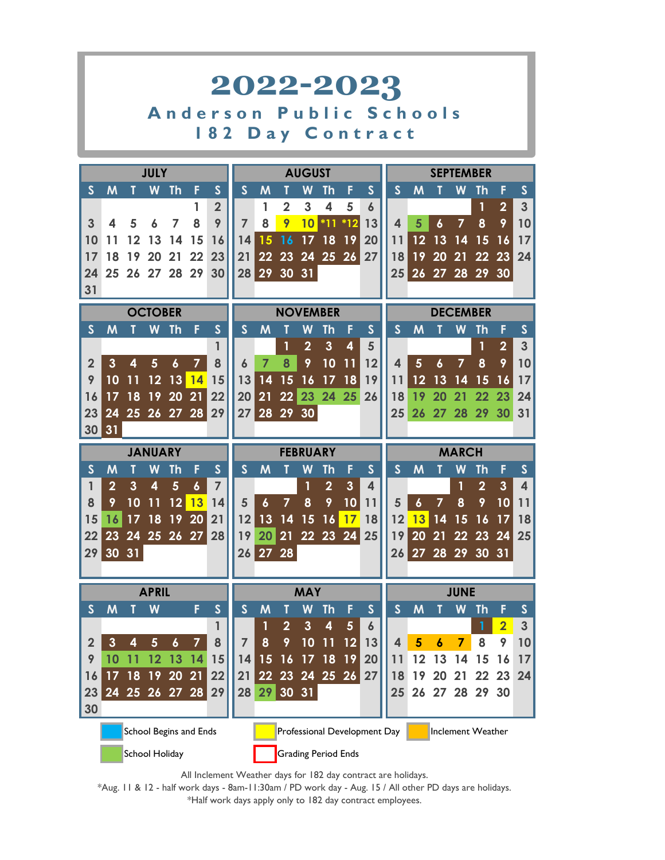

All Inclement Weather days for 182 day contract are holidays.

\*Half work days apply only to 182 day contract employees. \*Aug. 11 & 12 - half work days - 8am-11:30am / PD work day - Aug. 15 / All other PD days are holidays.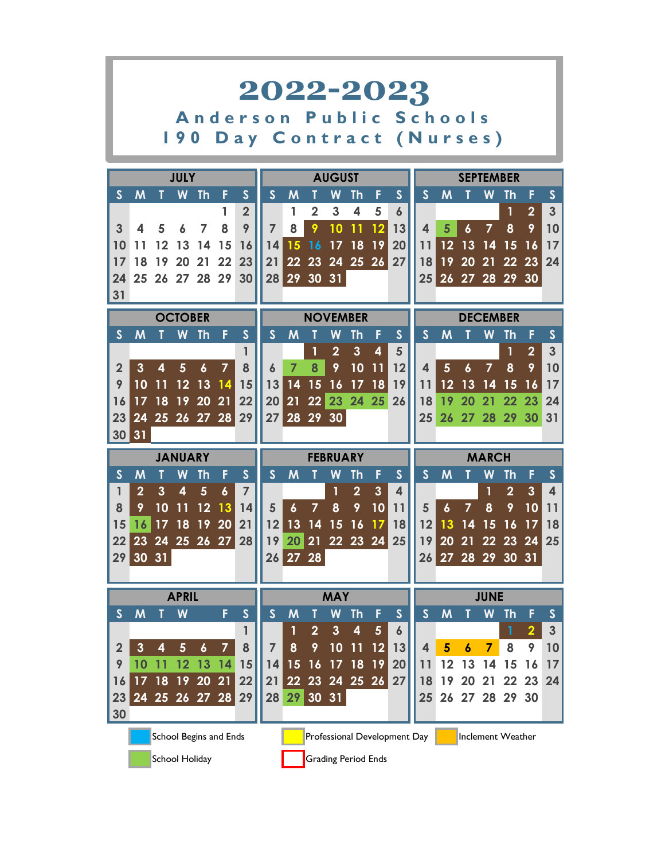|                |                                                                                                                                                                                                                            |                         |                         |                  |                        |                                                  |                      |                  |                     |                 |                   |                         | 2022-2023                    |                         |                  |                  |                   |                   |                |                         |
|----------------|----------------------------------------------------------------------------------------------------------------------------------------------------------------------------------------------------------------------------|-------------------------|-------------------------|------------------|------------------------|--------------------------------------------------|----------------------|------------------|---------------------|-----------------|-------------------|-------------------------|------------------------------|-------------------------|------------------|------------------|-------------------|-------------------|----------------|-------------------------|
|                |                                                                                                                                                                                                                            |                         | <b>190</b>              |                  |                        | Anderson Public Schools<br>Day Contract (Nurses) |                      |                  |                     |                 |                   |                         |                              |                         |                  |                  |                   |                   |                |                         |
|                |                                                                                                                                                                                                                            |                         |                         |                  |                        |                                                  |                      |                  |                     |                 |                   |                         |                              |                         |                  |                  |                   |                   |                |                         |
|                |                                                                                                                                                                                                                            |                         | <b>JULY</b>             |                  |                        |                                                  |                      |                  |                     | <b>AUGUST</b>   |                   |                         |                              |                         |                  |                  | <b>SEPTEMBER</b>  |                   |                |                         |
| $\mathsf{S}$   | M                                                                                                                                                                                                                          |                         | W                       | <b>Th</b>        | F                      | $\mathsf{S}$                                     | $\mathsf{S}$         | M                |                     | W               | <b>Th</b>         | F                       | $\mathsf{S}$                 | $\mathsf{S}$            | M                |                  | W                 | Th                |                | S                       |
|                |                                                                                                                                                                                                                            |                         |                         |                  | 1                      | $\overline{2}$<br>9                              |                      | 1                | $\overline{2}$<br>9 | 3<br>10         | 4<br>11           | 5                       | 6                            |                         | 5                |                  | 7                 | $\mathbf{1}$      | $\overline{2}$ | 3                       |
| 3<br>10        | 4                                                                                                                                                                                                                          | 5<br>12                 |                         | 7<br>14          | 8<br>15                |                                                  | $\overline{7}$<br>14 | 8<br>15          |                     |                 | 18                | 12 <sup>°</sup><br>19   | 13                           | 4<br>11                 | 12               | $\boldsymbol{6}$ |                   | 8                 | 9              | 10                      |
|                | 11                                                                                                                                                                                                                         |                         | 13                      | 21               |                        | 16<br>23                                         |                      |                  | 16                  | 17              |                   |                         | 20                           |                         | 19               | 13               | -14               | 15                | 16             | 17                      |
| 17             | 18                                                                                                                                                                                                                         | 19                      | 20                      |                  | 22                     |                                                  | 21                   |                  |                     |                 | 22 23 24 25 26 27 |                         |                              | 18                      |                  | 20               | $\overline{21}$   | 22 23             |                | 24                      |
| 24<br>31       |                                                                                                                                                                                                                            |                         |                         |                  | 25 26 27 28 29         | 30 <sup>1</sup>                                  | 28                   |                  |                     | 29 30 31        |                   |                         |                              | 25                      |                  |                  | 26 27 28 29 30    |                   |                |                         |
|                | <b>OCTOBER</b><br><b>NOVEMBER</b><br><b>DECEMBER</b><br>$\mathsf{S}$<br>$\mathsf{S}$<br>$\mathsf{S}$<br>$\mathsf{S}$<br>$\mathsf{S}$<br>M<br>W<br><b>Th</b><br>F<br>M<br>W<br>F<br>M<br>Th<br>W<br>Th<br>F<br>$\mathsf{S}$ |                         |                         |                  |                        |                                                  |                      |                  |                     |                 |                   |                         |                              |                         |                  |                  |                   |                   |                |                         |
|                |                                                                                                                                                                                                                            |                         |                         |                  |                        |                                                  |                      |                  |                     |                 |                   |                         |                              |                         |                  |                  |                   |                   |                |                         |
|                |                                                                                                                                                                                                                            |                         |                         |                  |                        |                                                  |                      |                  | 1                   | $\overline{2}$  | $\overline{3}$    | $\overline{\mathbf{4}}$ | 5                            |                         |                  |                  |                   | 1                 | $\overline{2}$ | $\overline{3}$          |
| $\overline{2}$ | $\overline{3}$                                                                                                                                                                                                             | $\overline{\mathbf{4}}$ | 5                       | $\boldsymbol{6}$ | $\overline{7}$         | 8                                                | $\boldsymbol{6}$     | $\overline{7}$   | 8                   | 9               | 10                | 11                      | 12                           | $\blacktriangle$        | 5                | $\boldsymbol{6}$ | $\overline{7}$    | 8                 | 9              | 10                      |
| 9              | 10                                                                                                                                                                                                                         | 11                      | 12                      | 13               | 14                     | 15                                               | 13                   | 14               | 15                  | 16              | 17                | 18                      | 19                           | 11                      | 12               | 13               | 14                | 15                | 16             | 17                      |
| 16             | 17                                                                                                                                                                                                                         | 18                      |                         | 19 20            | 21                     | 22                                               | 20                   | 21               |                     |                 | 22 23 24 25       |                         | 26                           | 18                      | 19               | 20               | 21                | 22                | 23             | 24                      |
| 23             |                                                                                                                                                                                                                            |                         |                         |                  | 24 25 26 27 28 29      |                                                  | 27                   |                  |                     | 28 29 30        |                   |                         |                              | 25                      |                  |                  | 26 27 28 29 30    |                   |                | 31                      |
| 30             | 31                                                                                                                                                                                                                         |                         |                         |                  |                        |                                                  |                      |                  |                     |                 |                   |                         |                              |                         |                  |                  |                   |                   |                |                         |
|                |                                                                                                                                                                                                                            |                         | <b>JANUARY</b>          |                  |                        |                                                  |                      |                  |                     | <b>FEBRUARY</b> |                   |                         |                              |                         |                  |                  | <b>MARCH</b>      |                   |                |                         |
| $\mathsf{S}$   | M                                                                                                                                                                                                                          |                         | W                       | Th               | F                      | $\mathsf{S}$                                     | $\mathsf{S}$         | M                | Τ                   | W               | Th                | F                       | $\mathsf{S}$                 | $\mathsf{S}$            | M                |                  | W                 | Th                |                | $\mathsf{S}$            |
| $\mathbf{1}$   | $\overline{2}$                                                                                                                                                                                                             | $\overline{3}$          | $\overline{\mathbf{4}}$ | $5\phantom{1}$   | $\boldsymbol{6}$       | $\overline{7}$                                   |                      |                  |                     |                 | $\overline{2}$    | $\mathbf{3}$            | $\overline{\mathbf{4}}$      |                         |                  |                  |                   | $\overline{2}$    | $\mathbf{3}$   | $\overline{\mathbf{4}}$ |
| 8              | 9                                                                                                                                                                                                                          | 10                      | 11                      | 12               | 13                     | 14                                               | 5                    | $\boldsymbol{6}$ | $\overline{7}$      | 8               | 9                 | 10                      | 11                           | 5                       | $\boldsymbol{6}$ | $\overline{7}$   | 8                 | 9                 | 10             | 11                      |
| 15             | 16                                                                                                                                                                                                                         | 17                      | 18                      | 19               | 20                     | 21                                               | 12                   |                  | $13 \t14$           | 15              | 16                | 17                      | 18                           | 12                      | 13               | 14               | 15                | 16                | 17             | 18                      |
| 22             |                                                                                                                                                                                                                            |                         |                         |                  |                        | 23 24 25 26 27 28                                | 19                   |                  |                     |                 | 20 21 22 23 24    |                         | 25                           | 19                      |                  | 20 21            | 22 23             |                   | 24             | 25                      |
| 29             |                                                                                                                                                                                                                            | 30 31                   |                         |                  |                        |                                                  |                      | 26 27 28         |                     |                 |                   |                         |                              |                         |                  |                  | 26 27 28 29 30 31 |                   |                |                         |
|                |                                                                                                                                                                                                                            |                         |                         |                  |                        |                                                  |                      |                  |                     |                 |                   |                         |                              |                         |                  |                  |                   |                   |                |                         |
| $\mathsf{s}$   | M                                                                                                                                                                                                                          |                         | <b>APRIL</b><br>W       |                  | F                      | $\mathsf{S}$                                     | $\mathsf{S}$         | M                | T                   | <b>MAY</b><br>W | <b>Th</b>         | F                       | $\mathsf{S}$                 | $\mathsf{S}$            | M                |                  | <b>JUNE</b><br>W  | Th                |                | $\mathsf{S}$            |
|                |                                                                                                                                                                                                                            |                         |                         |                  |                        | 1                                                |                      |                  | $\overline{2}$      | $\mathbf{3}$    | 4                 | $5\phantom{.0}$         | $\boldsymbol{6}$             |                         |                  |                  |                   | 1                 | $\mathbf 2$    | 3                       |
| $\overline{2}$ | $\mathbf{3}$                                                                                                                                                                                                               | 4                       | 5                       | 6                | 7                      | 8                                                | $\overline{7}$       | 8                | 9                   | 10              | 11                | 12                      | 13                           | $\overline{\mathbf{4}}$ | 5                | 6                | 7                 | 8                 | 9              | 10                      |
| 9              | 10                                                                                                                                                                                                                         |                         | 12                      | 13               | 14                     | 15                                               | 14                   | 15               | 16                  | 17              | 18                | 19                      | 20                           | 11                      | 12               | 13               | 14                | 15                | 16             | 17                      |
| 16             | 17                                                                                                                                                                                                                         | 18                      | 19                      | 20               | 21                     | 22                                               | 21                   | 22               | 23                  |                 | 24 25 26          |                         | 27                           | 18                      | 19               | 20               | 21                | 22                | 23             | 24                      |
| 23             |                                                                                                                                                                                                                            |                         |                         |                  | 24 25 26 27 28         | 29                                               | 28                   | 29               |                     | 30 31           |                   |                         |                              | 25                      | 26               |                  | 27 28 29 30       |                   |                |                         |
| 30             |                                                                                                                                                                                                                            |                         |                         |                  |                        |                                                  |                      |                  |                     |                 |                   |                         |                              |                         |                  |                  |                   |                   |                |                         |
|                |                                                                                                                                                                                                                            |                         |                         |                  |                        |                                                  |                      |                  |                     |                 |                   |                         |                              |                         |                  |                  |                   |                   |                |                         |
|                |                                                                                                                                                                                                                            |                         |                         |                  | School Begins and Ends |                                                  |                      |                  |                     |                 |                   |                         | Professional Development Day |                         |                  |                  |                   | Inclement Weather |                |                         |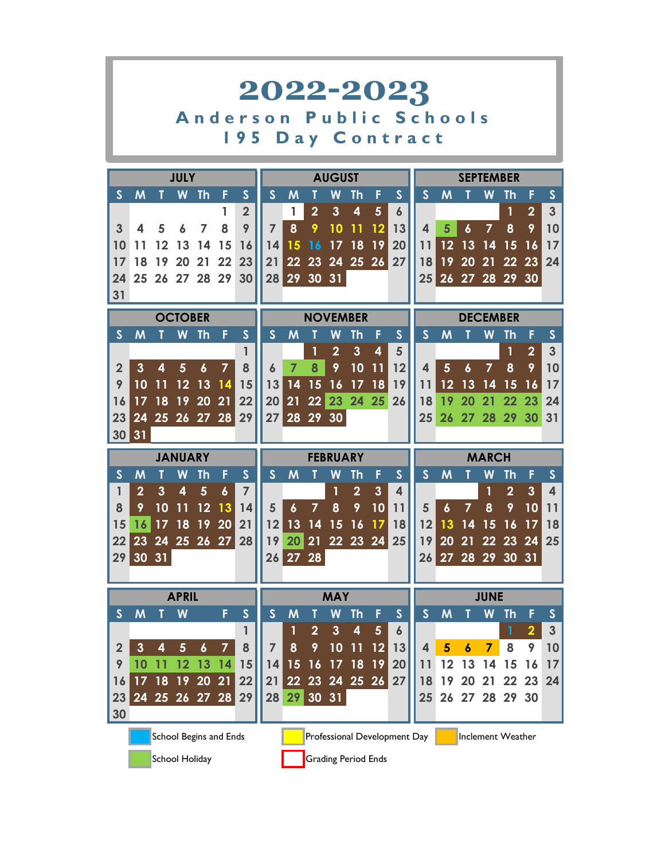|                |                |       |                |                        |    |                           | 2022-2023      |                  |                |                 |                            |                         |                              |                         |                   |                  |                   |                |                |                |
|----------------|----------------|-------|----------------|------------------------|----|---------------------------|----------------|------------------|----------------|-----------------|----------------------------|-------------------------|------------------------------|-------------------------|-------------------|------------------|-------------------|----------------|----------------|----------------|
|                |                |       |                |                        |    |                           | Anderson       |                  |                |                 |                            |                         |                              | <b>Public Schools</b>   |                   |                  |                   |                |                |                |
|                |                |       |                |                        |    | I 95                      |                |                  |                |                 |                            |                         |                              | <b>Day Contract</b>     |                   |                  |                   |                |                |                |
|                |                |       | <b>JULY</b>    |                        |    |                           |                |                  |                | <b>AUGUST</b>   |                            |                         |                              |                         |                   |                  | <b>SEPTEMBER</b>  |                |                |                |
| $\mathsf{S}$   | M              |       | W              | <b>Th</b>              | F  | $\mathsf{S}$              | S              | M                | Т              | W               | Th                         | F                       | $\mathsf{S}$                 | $\mathsf{S}$            | M                 | Τ                | W                 | Th             | F              | S              |
|                |                |       |                |                        | 1  | $\overline{2}$            |                | 1                | $\overline{2}$ | $\mathbf{3}$    | 4                          | $5\phantom{1}$          | $\boldsymbol{6}$             |                         |                   |                  |                   | 1              | $\overline{2}$ | 3              |
| 3              | 4              | 5     |                | 7                      | 8  | 9                         | $\overline{7}$ | 8                | 9              | 10              | 11                         | 12                      | 13                           | $\overline{\mathbf{A}}$ | 5                 | $\boldsymbol{6}$ | 7                 | 8              | 9              | 10             |
| 10             | 11             | 12    | 13             | 14                     | 15 | 16                        | 14             | 15               | 16             | 17              | 18                         | 19                      | 20                           | 11                      | 12                | 13               | 14                | 15             | 16             | 17             |
| 17             | 18             | 19    | 20             | 21                     | 22 | 23                        | 21             | 22               | 23             |                 | 24 25 26                   |                         | 27                           | 18                      | 19                | 20               | 21                | 22             | 23             | 24             |
| 24             |                |       |                | 25 26 27 28 29         |    | 30                        |                |                  |                | 28 29 30 31     |                            |                         |                              |                         | 25 26 27 28 29 30 |                  |                   |                |                |                |
| 31             |                |       |                |                        |    |                           |                |                  |                |                 |                            |                         |                              |                         |                   |                  |                   |                |                |                |
|                |                |       | <b>OCTOBER</b> |                        |    |                           |                |                  |                |                 | <b>NOVEMBER</b>            |                         |                              |                         |                   |                  | <b>DECEMBER</b>   |                |                |                |
| $\mathsf{S}$   | M              |       | W              | <b>Th</b>              | F  | $\mathsf{S}$              | $\mathsf{S}$   | M                |                | W               | Th                         | F                       | $\mathsf{S}$                 | $\mathsf{S}$            | M                 |                  | W                 | Th             | F              | $\mathsf{S}$   |
|                |                |       |                |                        |    | 1                         |                |                  | $\mathbf{1}$   | $\overline{2}$  | $\overline{3}$             | $\overline{\mathbf{4}}$ | 5                            |                         |                   |                  |                   | 1              | $\overline{2}$ | $\overline{3}$ |
| $\overline{2}$ | $\mathbf{3}$   | 4     | 5              | $\boldsymbol{6}$       | 7  | 8                         | 6              | $\overline{7}$   | 8              | 9               | 10                         | 11                      | 12                           | 4                       | 5                 | 6                | $\overline{7}$    | 8              | 9              | 10             |
| 9              | 10             |       | 12             | 13                     | 14 | 15                        | 13             | 14               | 15             | 16              | 17                         | 18                      | 19                           | 11                      | 12                | 13               | 14                | 15             | 16             | 17             |
| 16             | 17             | 18    | 19             | 20                     | 21 | 22                        | 20             | 21               |                |                 | 22 23 24 25                |                         | 26                           | 18                      | 19                | 20               | 21                | 22             | 23             | 24             |
| 23             | 24             |       |                | 25 26 27 28            |    | 29                        |                |                  |                | 27 28 29 30     |                            |                         |                              | 25                      |                   | 26 27 28         |                   | 29 30          |                | 31             |
| 30             | 31             |       |                |                        |    |                           |                |                  |                |                 |                            |                         |                              |                         |                   |                  |                   |                |                |                |
|                |                |       | <b>JANUARY</b> |                        |    |                           |                |                  |                | <b>FEBRUARY</b> |                            |                         |                              |                         |                   |                  | <b>MARCH</b>      |                |                |                |
| $\mathsf{S}$   | M              |       | W              | Th                     | F  | $\mathsf{S}$              | $\mathsf{S}$   | M                | Т              | W               | Th                         | F                       | $\mathsf{S}$                 | $\mathsf{S}$            | M                 |                  | W                 | Th             | F              | $\mathsf{S}$   |
| 1              | $\overline{2}$ | 3     | 4              | $5\phantom{1}$         | 6  | $\overline{7}$            |                |                  |                | 1               | $\overline{2}$             | $\mathbf{3}$            | $\overline{\mathbf{4}}$      |                         |                   |                  | 1                 | $\overline{2}$ | $\overline{3}$ | 4              |
| 8              | 9              | 10    |                | 12                     | 13 | 14                        | 5              | $\boldsymbol{6}$ | $\overline{7}$ | 8               | 9                          | 10                      | 11                           | 5                       | $\boldsymbol{6}$  | 7                | 8                 | 9              | 10             | 11             |
| 15             | 16             | 17    | 18             | 19                     | 20 | 21                        | 12             | 13               | 14             | 15              | 16                         | 17                      | 18                           | 12                      | 13                | 14               | 15                | 16             | 17             | 18             |
| 22             | 23             | 24    | 25 26          |                        | 27 | 28                        | 19             | 20               | 21             |                 | 22 23                      | 24                      | 25                           | 19                      | 20                | 21               | 22                | 23             | 24             | 25             |
| 29             |                | 30 31 |                |                        |    |                           |                | 26 27 28         |                |                 |                            |                         |                              |                         | 26 27 28 29 30 31 |                  |                   |                |                |                |
|                |                |       |                |                        |    |                           |                |                  |                |                 |                            |                         |                              |                         |                   |                  |                   |                |                |                |
|                |                |       | <b>APRIL</b>   |                        |    |                           |                |                  |                | <b>MAY</b>      |                            |                         |                              |                         |                   |                  | <b>JUNE</b>       |                |                |                |
| $\mathsf{S}$   | M              |       | W              |                        | F  | $\boldsymbol{\mathsf{S}}$ | $\mathsf{S}$   | M                | T              | W               | <b>Th</b>                  | F                       | $\mathsf{S}$                 | $\mathsf{S}$            | M                 |                  | W                 | <b>Th</b>      | F              | $\mathsf{s}$   |
|                |                |       |                |                        |    | 1                         |                |                  | $\overline{2}$ | $\mathbf{3}$    | 4                          | $5\phantom{.0}$         | $\boldsymbol{6}$             |                         |                   |                  |                   | $\mathbf{1}$   |                | 3              |
| $\overline{2}$ | 3              | 4     | $5\phantom{1}$ | $\boldsymbol{6}$       | 7  | 8                         | 7              | 8                | 9              | 10              | 11                         | 12                      | 13                           | 4                       | 5                 | 6                | 7                 | 8              | 9              | 10             |
| 9              | 10             | 11    | 12             | 13                     | 14 | 15                        | 14             | 15               | 16             |                 | 17 18                      | 19                      | 20                           | 11                      | 12                | 13               | 14                | 15             | 16             | 17             |
| 16             | 17             | 18    | 19             | <b>20</b>              | 21 | 22                        | 21             |                  | 22 23          |                 | 24 25 26                   |                         | 27                           | 18                      | 19                | 20               | 21                | 22             | 23             | 24             |
| 23             |                |       |                | 24 25 26 27 28         |    | 29                        | 28             | 29               |                | 30 31           |                            |                         |                              | 25                      | 26 <sub>2</sub>   |                  | 27 28             | 29             | 30             |                |
| 30             |                |       |                |                        |    |                           |                |                  |                |                 |                            |                         |                              |                         |                   |                  |                   |                |                |                |
|                |                |       |                | School Begins and Ends |    |                           |                |                  |                |                 |                            |                         | Professional Development Day |                         |                   |                  | Inclement Weather |                |                |                |
|                |                |       | School Holiday |                        |    |                           |                |                  |                |                 | <b>Grading Period Ends</b> |                         |                              |                         |                   |                  |                   |                |                |                |

**College**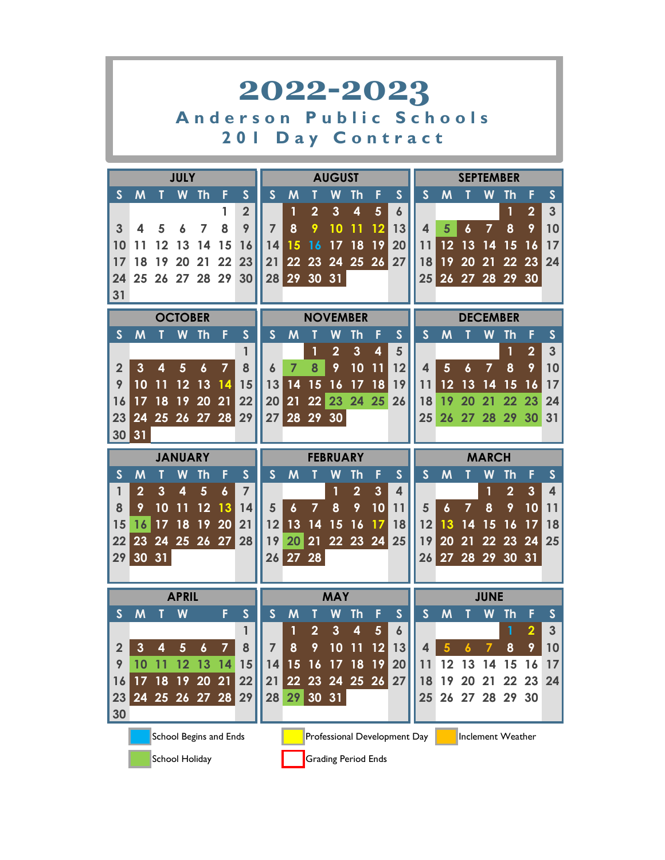|                                                                               |                |              |                         |                  |                        |                | 2022-2023        |                   |                |                 |                            |                         |                              |                       |    |    |                         |                         |                         |                         |
|-------------------------------------------------------------------------------|----------------|--------------|-------------------------|------------------|------------------------|----------------|------------------|-------------------|----------------|-----------------|----------------------------|-------------------------|------------------------------|-----------------------|----|----|-------------------------|-------------------------|-------------------------|-------------------------|
|                                                                               |                |              |                         |                  |                        |                | Anderson         |                   |                |                 |                            |                         |                              | <b>Public Schools</b> |    |    |                         |                         |                         |                         |
|                                                                               |                |              |                         |                  | <b>20</b>              | $\mathbb{R}^2$ |                  |                   |                |                 |                            |                         |                              | Day Contract          |    |    |                         |                         |                         |                         |
|                                                                               |                |              |                         |                  |                        |                |                  |                   |                |                 |                            |                         |                              |                       |    |    |                         |                         |                         |                         |
|                                                                               |                |              | <b>JULY</b>             |                  |                        |                |                  |                   |                | <b>AUGUST</b>   |                            |                         |                              |                       |    |    | <b>SEPTEMBER</b>        |                         |                         |                         |
| $\mathsf{S}$                                                                  | M              |              | W                       | <b>Th</b>        | F                      | $\mathsf{S}$   | $\mathsf{S}$     | M                 |                | W               | Th                         | F                       | $\mathsf{S}$                 | $\mathsf{S}$          | M  |    | W                       | Th                      | F                       | $\mathsf{S}$            |
|                                                                               |                |              |                         |                  | 1                      | $\overline{2}$ |                  |                   | $\overline{2}$ | $\mathbf{3}$    | $\overline{\mathbf{4}}$    | $5\phantom{1}$          | $\boldsymbol{6}$             |                       |    |    |                         | 1                       | $\overline{2}$          | 3                       |
| 3                                                                             | 4              | 5            |                         | 7                | 8                      | 9              | $\overline{7}$   | 8                 | 9              | 10              | 11                         | 12                      | 13                           | 4                     | 5  | 6  | $\overline{7}$          | 8                       | 9                       | 10                      |
| 10                                                                            | 11             |              |                         | 14               | 15                     | 16             | 14               | 15                | 16             | 17              | 18                         | 19                      | 20                           | 11                    | 12 | 13 | 14                      | 15                      | 16                      | 17                      |
| 17<br>24                                                                      | 18             | 19           | 20                      | 21               | 22<br>25 26 27 28 29   | 23<br>30       | 21               | 22<br>28 29 30 31 | 23             |                 | 24 25 26                   |                         | 27                           | 18                    | 19 | 20 | 21                      | 22<br>25 26 27 28 29 30 | 23                      | 24                      |
| 31                                                                            |                |              |                         |                  |                        |                |                  |                   |                |                 |                            |                         |                              |                       |    |    |                         |                         |                         |                         |
|                                                                               |                |              | <b>OCTOBER</b>          |                  |                        |                |                  |                   |                |                 | <b>NOVEMBER</b>            |                         |                              |                       |    |    | <b>DECEMBER</b>         |                         |                         |                         |
| $\mathsf{S}$                                                                  | M              |              | W                       | <b>Th</b>        | F                      | $\mathsf{S}$   | $\mathsf{S}$     | M                 |                | W               | Th                         | F                       | $\mathsf{S}$                 | $\mathsf{S}$          | M  |    | W                       | Th                      | F                       | $\mathsf{S}$            |
|                                                                               |                |              |                         |                  |                        | 1              |                  |                   | 1              | $\overline{2}$  | $\overline{3}$             | $\overline{\mathbf{4}}$ | 5                            |                       |    |    |                         | 1                       | $\overline{2}$          | 3                       |
| $\overline{2}$                                                                | 3              | 4            | 5                       | $\boldsymbol{6}$ | $\overline{7}$         | 8              | $\boldsymbol{6}$ | $\overline{7}$    | 8              | 9               | 10                         | 11                      | 12                           | 4                     | 5  | 6  | $\overline{7}$          | 8                       | 9                       | 10                      |
| 9                                                                             | 10             |              | 12                      | 13               | 14                     | 15             | 13               | 14                | 15             | 16              | 17                         | 18                      | 19                           | 11                    | 12 | 13 | 14                      | 15                      | 16                      | 17                      |
| 16                                                                            | 17             | 18           | 19                      | 20               | 21                     | 22             | 20               | 21                |                |                 |                            |                         | 26                           | 18                    | 19 | 20 | 21                      | 22                      | 23                      | 24                      |
| 22 23<br>24 25<br>27<br>28 29 30<br>23<br>25 26 27 28<br>29<br>26<br>24<br>25 |                |              |                         |                  |                        |                |                  |                   |                |                 |                            |                         | 27 28                        |                       | 29 | 30 | 31                      |                         |                         |                         |
| 30                                                                            | 31             |              |                         |                  |                        |                |                  |                   |                |                 |                            |                         |                              |                       |    |    |                         |                         |                         |                         |
|                                                                               |                |              | <b>JANUARY</b>          |                  |                        |                |                  |                   |                | <b>FEBRUARY</b> |                            |                         |                              |                       |    |    | <b>MARCH</b>            |                         |                         |                         |
| $\mathsf{S}$                                                                  | M              |              | W                       | Th               | F                      | $\mathsf{S}$   | $\mathsf{S}$     | M                 | Т              | W               | <b>Th</b>                  | F                       | $\mathsf{S}$                 | $\mathsf{S}$          | M  | т  | W                       | Th                      | F                       | $\mathsf{S}$            |
| 1                                                                             | $\overline{2}$ | $\mathbf{3}$ | $\overline{\mathbf{4}}$ | $5\phantom{1}$   | 6                      | $\overline{7}$ |                  |                   |                | 1               | $\overline{2}$             | $\mathbf{3}$            | $\overline{\mathbf{4}}$      |                       |    |    | $\overline{\mathbf{1}}$ | $\overline{2}$          | $\overline{3}$          | $\overline{\mathbf{4}}$ |
| 8                                                                             | 9              | 10           |                         | 12               | 13                     | 14             | 5                | $\boldsymbol{6}$  | $\overline{7}$ | 8               | 9                          | 10                      | 11                           | 5                     | 6  |    | 8                       | 9                       | 10                      | 11                      |
| 15                                                                            | 16             |              | 18                      | 19               | 20                     | 21             | 12               | 13                | 14             | 15              | 16                         | 17                      | 18                           | 12                    | 13 | 14 |                         | 16                      | 17                      | 18                      |
| 22                                                                            | 23             | 24           | 25 26                   |                  | 27                     | 28             | 19               | 20                | 21             |                 | 22 23 24                   |                         | 25                           | 19                    | 20 | 21 | 22                      | 23                      | 24                      | 25                      |
| 29                                                                            |                | 30 31        |                         |                  |                        |                |                  | 26 27 28          |                |                 |                            |                         |                              |                       |    |    |                         | 26 27 28 29 30 31       |                         |                         |
|                                                                               |                |              | <b>APRIL</b>            |                  |                        |                |                  |                   |                | <b>MAY</b>      |                            |                         |                              |                       |    |    | <b>JUNE</b>             |                         |                         |                         |
| $\mathsf{S}$                                                                  | M              |              | W                       |                  | F                      | $\mathsf{S}$   | $\mathsf{S}$     | M                 | T              | W               | <b>Th</b>                  | F                       | $\mathsf{S}$                 | $\mathsf{S}$          | M  |    | W                       | <b>Th</b>               | F                       | $\mathsf{S}$            |
|                                                                               |                |              |                         |                  |                        | 1              |                  | 1                 | $\overline{2}$ | $\mathbf{3}$    | 4                          | $5\phantom{.}$          | $\boldsymbol{6}$             |                       |    |    |                         | 1                       | $\overline{\mathbf{2}}$ | $\mathbf{3}$            |
| $\overline{2}$                                                                | 3              | 4            | $5\phantom{.}$          | $\boldsymbol{6}$ | 7                      | 8              | 7                | 8                 | 9              | 10              | 11                         | 12                      | 13                           | 4                     |    |    |                         | 8                       | 9                       | 10                      |
| 9                                                                             | 10             | 11           | 12                      | 13               | 14                     | 15             | 14               | 15                | 16             |                 | $\overline{17}$ 18         | 19                      | 20                           | 11                    | 12 | 13 | 14                      | 15                      | 16                      | 17                      |
| 16                                                                            | 17             | 18           | 19                      | 20               | 21                     | 22             | 21               | 22                | 23             |                 | 24 25 26                   |                         | 27                           | 18                    | 19 | 20 | 21                      | 22                      | 23                      | 24                      |
| 23                                                                            |                |              |                         |                  | 24 25 26 27 28         | 29             | 28               | 29                |                | 30 31           |                            |                         |                              | 25                    |    |    |                         | 26 27 28 29 30          |                         |                         |
| 30                                                                            |                |              |                         |                  |                        |                |                  |                   |                |                 |                            |                         |                              |                       |    |    |                         |                         |                         |                         |
|                                                                               |                |              |                         |                  | School Begins and Ends |                |                  |                   |                |                 |                            |                         | Professional Development Day |                       |    |    |                         | Inclement Weather       |                         |                         |
|                                                                               |                |              | School Holiday          |                  |                        |                |                  |                   |                |                 | <b>Grading Period Ends</b> |                         |                              |                       |    |    |                         |                         |                         |                         |

<u> La componenta de la componenta de la componenta de la componenta de la componenta de la componenta de la comp</u>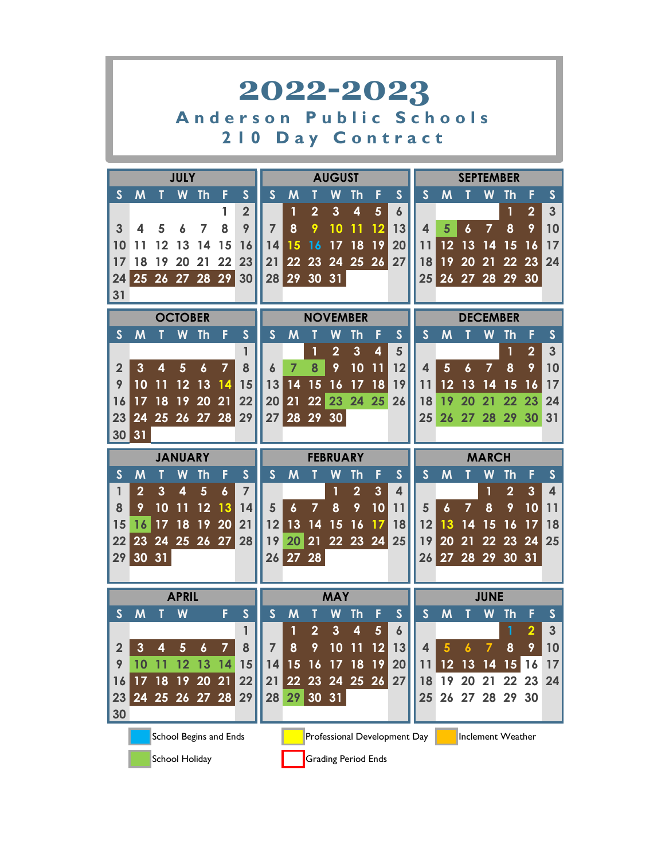|                |                |    |                |                  |                        |                         | 2022-2023        |                  |                |                 |                                    |                            |                              |                  |                  |                  |                   |                |                         |                         |
|----------------|----------------|----|----------------|------------------|------------------------|-------------------------|------------------|------------------|----------------|-----------------|------------------------------------|----------------------------|------------------------------|------------------|------------------|------------------|-------------------|----------------|-------------------------|-------------------------|
|                |                |    |                |                  |                        | Anderson                |                  |                  | P              | u               |                                    |                            |                              | blic Schools     |                  |                  |                   |                |                         |                         |
|                |                |    |                |                  |                        | 2 I O                   |                  |                  |                |                 |                                    |                            |                              | Day Contract     |                  |                  |                   |                |                         |                         |
|                |                |    | <b>JULY</b>    |                  |                        |                         |                  |                  |                | <b>AUGUST</b>   |                                    |                            |                              |                  |                  |                  | <b>SEPTEMBER</b>  |                |                         |                         |
| $\mathsf{S}$   | M              |    | W              | <b>Th</b>        | F                      | $\mathsf{S}$            | $\mathsf{S}$     | M                | T              | W               | <b>Th</b>                          | F                          | $\mathsf{S}$                 | $\mathsf{S}$     | M                |                  | W                 | Th             | F                       | $\mathsf{S}$            |
|                |                |    |                |                  | 1                      | $\overline{2}$          |                  | 1                | $\overline{2}$ | $\mathbf{3}$    | $\overline{\mathbf{4}}$            | $5\phantom{1}$             | 6                            |                  |                  |                  |                   | 1              | $\overline{2}$          | $\overline{\mathbf{3}}$ |
| 3              | 4              | 5  |                |                  | 8                      | 9                       | $\overline{7}$   | 8                | 9              | 10              | 11                                 | $12 \overline{ }$          | 13                           | 4                | 5                | 6                | 7                 | 8              | 9                       | 10                      |
| 10             |                |    |                | 14               | 15                     | 16                      | 14               | 15               | 16             | 17              | 18                                 | 19                         | 20                           | 11               | 12               | 13               | 14                | 15             | 16                      | 17                      |
| 17             | 18             | 19 | 20             | 21               | 22                     | 23                      | 21               | 22               | 23             |                 |                                    | 24 25 26                   | 27                           | 18               | 19               | 20               | $\overline{21}$   | 22             | 23                      | 24                      |
| 24             |                |    | 25 26 27 28    |                  | 29                     | 30                      | 28               |                  | 29 30 31       |                 |                                    |                            |                              | 25 <sub>2</sub>  |                  | 26 27 28         |                   | 29 30          |                         |                         |
| 31             |                |    |                |                  |                        |                         |                  |                  |                |                 |                                    |                            |                              |                  |                  |                  |                   |                |                         |                         |
|                |                |    | <b>OCTOBER</b> |                  |                        |                         |                  |                  |                | <b>NOVEMBER</b> |                                    |                            |                              |                  |                  |                  | <b>DECEMBER</b>   |                |                         |                         |
| $\mathsf{S}$   | M              |    | W              | <b>Th</b>        | F                      | $\overline{\mathsf{S}}$ | $\mathbf S$      | M                |                | W               | Th                                 | F                          | $\mathsf{S}$                 | $\mathsf{S}$     | M                |                  | W                 | <b>Th</b>      | F                       | $\mathsf{S}$            |
|                |                |    |                |                  |                        | 1                       |                  |                  | 1              | $\overline{2}$  | $\mathbf{3}$                       | 4                          | 5                            |                  |                  |                  |                   | 1              | $\overline{2}$          | $\overline{3}$          |
| $\overline{2}$ | 3              | 4  | 5              | $\boldsymbol{6}$ | $\overline{7}$         | 8                       | $\boldsymbol{6}$ | $\overline{7}$   | 8              | 9               | 10                                 | 11                         | 12                           | $\blacktriangle$ | 5                | $\boldsymbol{6}$ | $\overline{7}$    | 8              | 9                       | 10                      |
| 9              | 10             |    |                | 13               | 14                     | 15                      | 13               | 14               | 15             | 16              | 17                                 | 18                         | 19                           | 11               | 12               | 13               | 14                | 15             | 16                      | 17                      |
| 16             | 17             | 18 | 19             | 20               | 21                     | 22                      | 20               | 21               |                | 22 23 24 25     |                                    |                            | 26                           | 18               | 19               | 20               | 21                | 22             | 23                      | 24                      |
| 23             | 24             |    |                |                  | 25 26 27 28            | 29                      | 27               | 28 29 30         |                |                 |                                    |                            |                              | 25               | 26               | 27 <sub>2</sub>  | 28                |                | 29 30                   | 31                      |
| 30             | 31             |    |                |                  |                        |                         |                  |                  |                |                 |                                    |                            |                              |                  |                  |                  |                   |                |                         |                         |
|                |                |    | <b>JANUARY</b> |                  |                        |                         |                  |                  |                | <b>FEBRUARY</b> |                                    |                            |                              |                  |                  |                  | <b>MARCH</b>      |                |                         |                         |
| $\mathsf{S}$   | M              |    | W              | Th               | F                      | $\mathsf{S}$            | $\mathsf{S}$     | M                |                | W               | Th                                 | F                          | $\mathsf{S}$                 | $\mathsf{S}$     | M                |                  | W                 | <b>Th</b>      | F                       | $\mathsf{S}$            |
| 1              | $\overline{2}$ | 3  | 4              | 5                | $\boldsymbol{6}$       | $\overline{7}$          |                  |                  |                | 1               | $\overline{2}$                     | $\mathbf{3}$               | 4                            |                  |                  |                  | $\mathbf{1}$      | $\overline{2}$ | 3                       | $\overline{\mathbf{4}}$ |
| 8              | 9              | 10 | 11             | 12               | 13                     | 14                      | 5                | $\boldsymbol{6}$ | $\overline{7}$ | 8               | 9                                  | 10                         | 11                           | 5                | $\boldsymbol{6}$ | 7                | 8                 | 9              | 10                      | 11                      |
| 15             | 16             | 17 | 18             | 19               | 20                     | 21                      | 12               | 13               | 14             | 15              | 16                                 | 17                         | 18                           | 12               | 13               | 14               | 15                | 16             | 17                      | 18                      |
| 22             | 23             | 24 |                | 25 26 27         |                        | 28                      | 19               | 20               |                | 21 22 23 24     |                                    |                            | 25                           | 19               | 20               | 21               | 22                | 23             | 24                      | 25                      |
|                | 29 30 31       |    |                |                  |                        |                         |                  | 26 27 28         |                |                 |                                    |                            |                              |                  |                  |                  |                   |                | 26 27 28 29 30 31       |                         |
|                |                |    |                |                  |                        |                         |                  |                  |                |                 |                                    |                            |                              |                  |                  |                  |                   |                |                         |                         |
|                |                |    | <b>APRIL</b>   |                  |                        |                         |                  |                  |                | <b>MAY</b>      |                                    |                            |                              |                  |                  |                  | <b>JUNE</b>       |                |                         |                         |
| $\mathsf{S}$   | M              |    | W              |                  | F                      | $\mathsf{S}$            | $\mathsf{S}$     | M                | Т              | W               | <b>Th</b>                          | F                          | S                            | S                | M                |                  | W                 | <b>Th</b>      | F                       | S                       |
|                |                |    |                |                  |                        |                         |                  | 1                | $\overline{2}$ | $\mathbf{3}$    | $\overline{\mathbf{4}}$            | 5                          | $\boldsymbol{6}$             |                  |                  |                  |                   | 1              | $\overline{\mathbf{2}}$ | $\mathbf{3}$            |
| $\overline{2}$ | $\mathbf{3}$   | 4  | $\overline{5}$ | $\boldsymbol{6}$ | $\overline{7}$         | 8                       | 7                | 8                | 9              | 10              | 11                                 | 12                         | 13                           | 4                | 5                | 6                | 7                 | 8              | 9                       | 10                      |
| 9              | 10             | 11 | 12             | 13               | 14                     | 15                      | 14               | 15               | 16             |                 | $\overline{17}$ 18 $\overline{19}$ |                            | 20                           | 11               | 12               | 13               | 14                | 15             | 16                      | 17                      |
| 16             | 17             | 18 | 19 20          |                  | 21                     | 22                      | 21               |                  |                | 22 23 24 25 26  |                                    |                            | 27                           | 18               | 19               | 20               | 21                | 22             | 23                      | 24                      |
| 23<br>30       |                |    |                |                  | 24 25 26 27 28         | 29                      | 28               |                  | 29 30 31       |                 |                                    |                            |                              | 25               |                  |                  | 26 27 28 29 30    |                |                         |                         |
|                |                |    |                |                  |                        |                         |                  |                  |                |                 |                                    |                            |                              |                  |                  |                  |                   |                |                         |                         |
|                |                |    |                |                  | School Begins and Ends |                         |                  |                  |                |                 |                                    |                            | Professional Development Day |                  |                  |                  | Inclement Weather |                |                         |                         |
|                |                |    | School Holiday |                  |                        |                         |                  |                  |                |                 |                                    | <b>Grading Period Ends</b> |                              |                  |                  |                  |                   |                |                         |                         |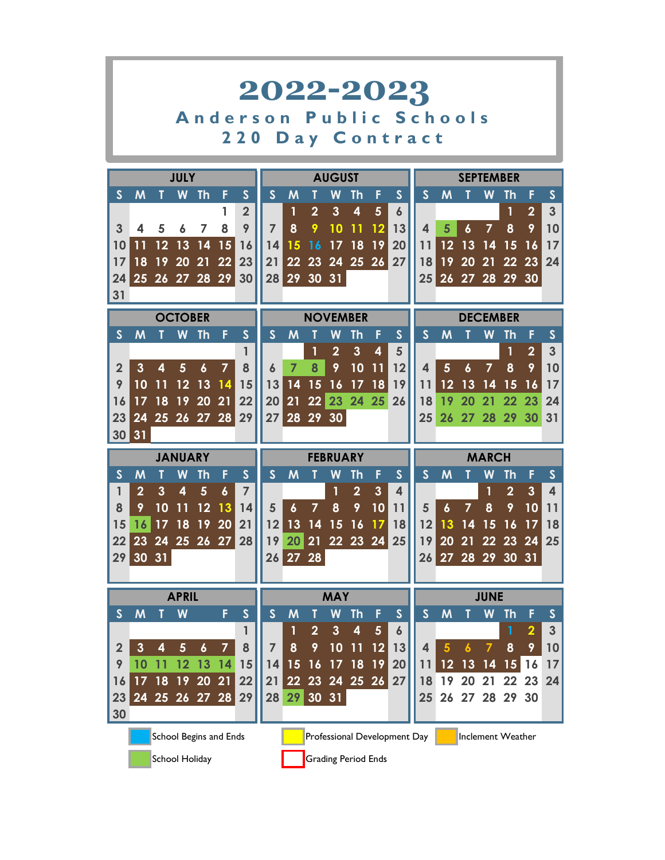|                         |                |    |                |                  |                          |                | 2022-2023        |                  |                |                 |                         |                            |                              |                         |                  |                  |                   |                |                         |                |
|-------------------------|----------------|----|----------------|------------------|--------------------------|----------------|------------------|------------------|----------------|-----------------|-------------------------|----------------------------|------------------------------|-------------------------|------------------|------------------|-------------------|----------------|-------------------------|----------------|
|                         |                |    |                |                  |                          | Anderson       |                  |                  | P              | u               |                         |                            |                              | blic Schools            |                  |                  |                   |                |                         |                |
|                         |                |    |                |                  |                          | 220            |                  |                  |                |                 |                         |                            |                              | Day Contract            |                  |                  |                   |                |                         |                |
|                         |                |    | <b>JULY</b>    |                  |                          |                |                  |                  |                | <b>AUGUST</b>   |                         |                            |                              |                         |                  |                  | <b>SEPTEMBER</b>  |                |                         |                |
| $\mathsf{S}$            | M              |    | W              | Th               | F                        | S              | $\mathsf{S}$     | M                | Т              | W               | Th                      | F                          | $\mathsf{S}$                 | $\mathsf{S}$            | M                |                  | W                 | Th             | F                       | S              |
|                         |                |    |                |                  | 1                        | $\overline{2}$ |                  | 1                | $\overline{2}$ | $\mathbf{3}$    | $\overline{\mathbf{4}}$ | $5\phantom{1}$             | $\boldsymbol{6}$             |                         |                  |                  |                   | 1              | $\overline{2}$          | $\overline{3}$ |
| 3                       | 4              | 5  | 6              | 7                | 8                        | 9              | $\overline{7}$   | 8                | 9              | 10              | 11                      | 12                         | 13                           | $\overline{\mathbf{A}}$ | 5                | 6                | $\overline{7}$    | 8              | 9                       | 10             |
| 10                      | 11             | 12 | 13             | 14               | 15                       | 16             | 14               | 15               | 16             | 17              | 18                      | 19                         | 20                           | 11                      | 12               | 13               | 14                | 15             | 16                      | 17             |
| 17                      | 18             | 19 | 20             | 21               | 22                       | 23             | 21               | 22               | 23             |                 |                         | 24 25 26                   | 27                           | 18                      | 19               | 20               | 21                | 22             | 23                      | 24             |
| 24                      |                |    | 25 26 27 28    |                  | 29                       | 30             |                  | 28 29 30 31      |                |                 |                         |                            |                              | 25 <sub>2</sub>         |                  |                  | 26 27 28 29 30    |                |                         |                |
| 31                      |                |    |                |                  |                          |                |                  |                  |                |                 |                         |                            |                              |                         |                  |                  |                   |                |                         |                |
|                         |                |    | <b>OCTOBER</b> |                  |                          |                |                  |                  |                | <b>NOVEMBER</b> |                         |                            |                              |                         |                  |                  | <b>DECEMBER</b>   |                |                         |                |
| $\mathsf{S}$            | M              |    | W              | Th               | F                        | $\mathsf{S}$   | $\mathsf{S}$     | M                |                | W               | Th                      | F                          | $\mathsf{S}$                 | $\mathsf{S}$            | M                |                  | W                 | Th             | F                       | S              |
|                         |                |    |                |                  |                          | 1              |                  |                  | 1              | $\overline{2}$  | $\mathbf{3}$            | 4                          | 5                            |                         |                  |                  |                   | 1              | $\overline{2}$          | $\overline{3}$ |
| $\overline{\mathbf{2}}$ | 3              | 4  | $5\phantom{1}$ | $\boldsymbol{6}$ | $\overline{7}$           | 8              | $\boldsymbol{6}$ | $\overline{7}$   | 8              | 9               | 10                      | 11                         | 12                           | 4                       | 5                | $\boldsymbol{6}$ | $\overline{7}$    | 8              | 9                       | 10             |
| 9                       | 10             |    |                | 13               | 14                       | 15             | 13               | 14               | 15             | 16              | 17                      | 18                         | 19                           | 11                      | 12               | 13               | 14                | 15             | 16                      | 17             |
| 16                      | 17             | 18 | 19             | 20               | 21                       | 22             | 20               | 21               |                | 22 23 24 25     |                         |                            | 26                           | 18                      | 19               | 20               | 21                | 22             | 23                      | 24             |
| 23                      | 24             |    |                |                  | 25 26 27 28 29           |                | 27               | 28 29 30         |                |                 |                         |                            |                              | 25                      |                  | 26 27 28         |                   | 29 30          |                         | 31             |
| 30                      | 31             |    |                |                  |                          |                |                  |                  |                |                 |                         |                            |                              |                         |                  |                  |                   |                |                         |                |
|                         |                |    | <b>JANUARY</b> |                  |                          |                |                  |                  |                | <b>FEBRUARY</b> |                         |                            |                              |                         |                  |                  | <b>MARCH</b>      |                |                         |                |
| $\mathsf{S}$            | M              |    | W              | Th               | F                        | $\mathsf{S}$   | $\mathsf{S}$     | M                |                | W               | Th                      | F                          | $\mathsf{S}$                 | $\mathsf{S}$            | M                |                  | W                 | Th             | F                       | $\mathsf{S}$   |
| 1                       | $\overline{2}$ | 3  | 4              | 5                | $\boldsymbol{6}$         | $\overline{7}$ |                  |                  |                | 1               | $\overline{2}$          | $\mathbf{3}$               | $\overline{\mathbf{4}}$      |                         |                  |                  | 1                 | $\overline{2}$ | 3                       | 4              |
| 8                       | 9              | 10 |                | 12               | 13                       | 14             | 5                | $\boldsymbol{6}$ | $\overline{7}$ | 8               | 9                       | 10                         | 11                           | 5                       | $\boldsymbol{6}$ | $\overline{7}$   | 8                 | 9              | 10                      | 11             |
| 15                      | 16             |    | 18             | 19               | 20                       | 21             | 12               | 13               | 14             | 15              | 16                      | 17                         | 18                           | 12                      | 13               | 14               | 15                | 16             | 17                      | 18             |
| 22                      | 23             | 24 |                | 25 26 27         |                          | 28             | 19               | 20               | 21             | 22 23 24        |                         |                            | 25                           | 19                      | 20               | 21               |                   | 22 23          | 24                      | 25             |
|                         | 29 30 31       |    |                |                  |                          |                |                  | 26 27 28         |                |                 |                         |                            |                              |                         |                  |                  |                   |                | 26 27 28 29 30 31       |                |
|                         |                |    |                |                  |                          |                |                  |                  |                |                 |                         |                            |                              |                         |                  |                  |                   |                |                         |                |
|                         |                |    | <b>APRIL</b>   |                  |                          |                |                  |                  |                | <b>MAY</b>      |                         |                            |                              |                         |                  |                  | <b>JUNE</b>       |                |                         |                |
| $\mathsf{S}$            | M              |    | W              |                  | F                        | $\mathsf{S}$   | $\mathsf{S}$     | M                | T              | W               | <b>Th</b>               | F                          | $\mathsf{s}$                 | $\mathsf{S}$            | M                |                  | W                 | <b>Th</b>      | F                       | $\mathsf{s}$   |
|                         |                |    |                |                  |                          | 1              |                  | 1                | $\overline{2}$ | $\mathbf{3}$    | $\overline{\mathbf{4}}$ | 5                          | $\boldsymbol{6}$             |                         |                  |                  |                   | 1              | $\overline{\mathbf{2}}$ | $\mathbf{3}$   |
| $\overline{2}$          | $\mathbf{3}$   | 4  | $5\phantom{.}$ | $\boldsymbol{6}$ | $\overline{\mathcal{L}}$ | 8              | 7                | 8                | 9              | 10              | 11                      | 12                         | 13                           | 4                       |                  |                  |                   | 8              | 9                       | 10             |
| 9                       | 10             |    | 12             | 13               | 14                       | 15             | 14               | 15               | 16             | 17              | <b>18</b>               | 19                         | 20                           | 11                      | 12               | 13               | 14                | 15             | 16                      | 17             |
| 16                      | 17             | 18 | 19             | 20               | 21                       | 22             | 21               | 22               | 23             |                 | $24$ 25 $26$            |                            | 27                           | 18                      | 19               | 20               | 21                | 22             | 23                      | 24             |
| 23                      |                |    |                |                  | 24 25 26 27 28           | 29             | 28               | 29               |                | 30 31           |                         |                            |                              | 25                      |                  | 26 27            | 28                | 29 30          |                         |                |
| 30                      |                |    |                |                  |                          |                |                  |                  |                |                 |                         |                            |                              |                         |                  |                  |                   |                |                         |                |
|                         |                |    |                |                  | School Begins and Ends   |                |                  |                  |                |                 |                         |                            | Professional Development Day |                         |                  |                  | Inclement Weather |                |                         |                |
|                         |                |    | School Holiday |                  |                          |                |                  |                  |                |                 |                         | <b>Grading Period Ends</b> |                              |                         |                  |                  |                   |                |                         |                |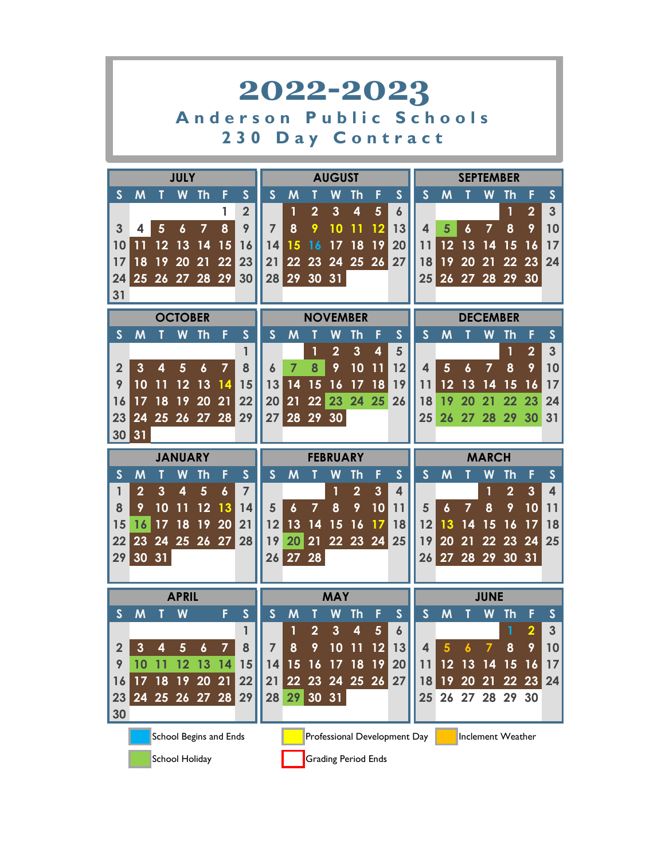|                                                                                        |                                                                                                                                                                                                            |              |                |                        |                |                | 2022-2023               |                  |                |                 |                            |                |                              |                         |                   |             |                 |                   |                         |                         |
|----------------------------------------------------------------------------------------|------------------------------------------------------------------------------------------------------------------------------------------------------------------------------------------------------------|--------------|----------------|------------------------|----------------|----------------|-------------------------|------------------|----------------|-----------------|----------------------------|----------------|------------------------------|-------------------------|-------------------|-------------|-----------------|-------------------|-------------------------|-------------------------|
|                                                                                        |                                                                                                                                                                                                            |              |                |                        |                |                | Anderson                |                  | P              |                 |                            |                |                              | blic Schools            |                   |             |                 |                   |                         |                         |
|                                                                                        |                                                                                                                                                                                                            |              |                |                        |                | 230            |                         |                  |                |                 |                            |                |                              | Day Contract            |                   |             |                 |                   |                         |                         |
|                                                                                        |                                                                                                                                                                                                            |              | <b>JULY</b>    |                        |                |                |                         |                  |                | <b>AUGUST</b>   |                            |                |                              |                         |                   |             |                 | <b>SEPTEMBER</b>  |                         |                         |
| $\mathsf{S}$                                                                           | M                                                                                                                                                                                                          |              | W              | <b>Th</b>              | F              | $\mathsf{S}$   | $\mathsf{S}$            | M                |                | W               | Th                         | F              | $\mathsf{S}$                 | $\mathsf{S}$            | M                 |             | W               | Th                | F                       | $\mathsf{S}$            |
|                                                                                        |                                                                                                                                                                                                            |              |                |                        | 1              | $\overline{2}$ |                         |                  | $\overline{2}$ | $\mathbf{3}$    | $\overline{\mathbf{4}}$    | 5              | $\boldsymbol{6}$             |                         |                   |             |                 | 1                 | $\overline{2}$          | 3                       |
| 3                                                                                      | 4                                                                                                                                                                                                          | 5            | 6              | 7                      | 8              | 9              | $\overline{7}$          | 8                | 9              | 10              |                            | 12             | 13                           | 4                       | 5                 | 6           | 7               | 8                 | 9                       | 10                      |
| 10                                                                                     |                                                                                                                                                                                                            | 12           | 13             | 14                     | 15             | 16             | 14                      | 15               | 16             | 17              | 18                         | 19             | 20                           | 11                      | 12                | 13          | 14              | 15                | 16                      | 17                      |
| 17                                                                                     | 18                                                                                                                                                                                                         | 19           | 20             | 21                     | 22             | 23             | 21                      | 22               | 23             | 24              | 25 26                      |                | 27                           | 18                      | 19                | 20          | 21              | 22                | 23                      | 24                      |
| 24<br>31                                                                               |                                                                                                                                                                                                            |              |                | 25 26 27 28 29         |                | 30             | 28                      |                  | 29 30 31       |                 |                            |                |                              | 25                      |                   |             |                 | 26 27 28 29 30    |                         |                         |
|                                                                                        | <b>OCTOBER</b><br><b>NOVEMBER</b><br><b>DECEMBER</b><br>$\mathsf{S}$<br>$\mathsf{S}$<br>$\mathsf{S}$<br>$\mathsf{S}$<br>$\mathsf{S}$<br>W<br><b>Th</b><br>F<br>W<br>Th<br>F<br>M<br>M<br>M<br>W<br>Th<br>F |              |                |                        |                |                |                         |                  |                |                 |                            |                |                              |                         |                   |             |                 |                   |                         |                         |
|                                                                                        |                                                                                                                                                                                                            |              |                |                        |                |                |                         |                  |                |                 |                            |                |                              |                         |                   |             |                 |                   |                         | $\mathsf{S}$            |
|                                                                                        |                                                                                                                                                                                                            |              |                |                        |                | 1              |                         |                  | 1              | $\overline{2}$  | $\overline{3}$             | 4              | 5                            |                         |                   |             |                 | 1                 | $\overline{2}$          | $\overline{3}$          |
| $\overline{2}$                                                                         | 3                                                                                                                                                                                                          | 4            | 5              | $\boldsymbol{6}$       | $\overline{7}$ | 8              | 6                       | $\overline{7}$   | 8              | 9               | 10                         | 11             | 12                           | $\overline{\mathbf{A}}$ | 5                 | 6           | $\overline{7}$  | 8                 | 9                       | 10                      |
| 9                                                                                      | 10                                                                                                                                                                                                         |              |                | 13                     | 14             | 15             | 13                      | 14               | 15             | 16              | 17                         | 18             | 19                           | 11                      | 12                | 13          | 14              | 15                | 16                      | 17                      |
| 16                                                                                     | 22<br>23<br>24<br>20<br>22<br>20<br>21<br>25<br>26<br>19<br>21<br>18<br>22<br>24<br>17<br>18<br>19<br>20<br>21<br>23                                                                                       |              |                |                        |                |                |                         |                  |                |                 |                            |                |                              |                         |                   |             |                 |                   |                         |                         |
| 27<br>28 29 30<br>23<br>24<br>25<br>26 27 28<br>29<br>25<br>26<br>27<br>28<br>29<br>30 |                                                                                                                                                                                                            |              |                |                        |                |                |                         |                  |                |                 |                            |                |                              | 31                      |                   |             |                 |                   |                         |                         |
| 30                                                                                     | 31                                                                                                                                                                                                         |              |                |                        |                |                |                         |                  |                |                 |                            |                |                              |                         |                   |             |                 |                   |                         |                         |
|                                                                                        |                                                                                                                                                                                                            |              | <b>JANUARY</b> |                        |                |                |                         |                  |                | <b>FEBRUARY</b> |                            |                |                              |                         |                   |             | <b>MARCH</b>    |                   |                         |                         |
| $\mathsf{S}$                                                                           | M                                                                                                                                                                                                          |              | W              | <b>Th</b>              | F              | $\mathsf{s}$   | $\mathsf{S}$            | M                | T              | W               | Th                         | F              | $\mathsf{s}$                 | $\mathsf{S}$            | M                 | Τ           | W               | <b>Th</b>         | F                       | $\mathsf{S}$            |
| 1                                                                                      | $\overline{2}$                                                                                                                                                                                             | $\mathbf{3}$ | 4              | $5\phantom{1}$         | 6              | $\overline{7}$ |                         |                  |                | 1               | $\overline{2}$             | $\mathbf{3}$   | $\overline{\mathbf{4}}$      |                         |                   |             | 1               | $\overline{2}$    | $\mathbf{3}$            | $\overline{\mathbf{4}}$ |
| 8                                                                                      | 9                                                                                                                                                                                                          | 10           |                | 12                     | 13             | 14             | 5                       | $\boldsymbol{6}$ | 7              | 8               | 9                          | 10             | 11                           | 5                       | $\boldsymbol{6}$  | 7           | 8               | 9                 | 10                      | 11                      |
| 15                                                                                     | 16                                                                                                                                                                                                         |              | 18             | 19                     | 20             | 21             | 12                      | 13               | 14             | 15              | 16                         | 17             | 18                           | 12                      | 13                | 14          | 15              | 16                | 17                      | 18                      |
| 22                                                                                     | 23                                                                                                                                                                                                         | 24           | 25             | 26                     | 27             | 28             | 19                      | 20               | 21             | 22              | 23 24                      |                | 25                           | 19                      | 20                | 21          | 22              | 23                | 24                      | 25                      |
| 29                                                                                     | 30 31                                                                                                                                                                                                      |              |                |                        |                |                |                         | 26 27 28         |                |                 |                            |                |                              |                         | 26 27 28 29 30 31 |             |                 |                   |                         |                         |
|                                                                                        |                                                                                                                                                                                                            |              | <b>APRIL</b>   |                        |                |                |                         |                  |                | <b>MAY</b>      |                            |                |                              |                         |                   |             | <b>JUNE</b>     |                   |                         |                         |
| $\mathsf{S}$                                                                           | M                                                                                                                                                                                                          |              | W              |                        | F              | $\mathsf{S}$   | $\overline{\mathsf{S}}$ | M                | T              | W               | <b>Th</b>                  | F              | $\mathsf{s}$                 | $\mathsf{S}$            | M                 |             | W               | <b>Th</b>         | F                       | $\mathsf{S}$            |
|                                                                                        |                                                                                                                                                                                                            |              |                |                        |                | 1              |                         | 1                | $\overline{2}$ | $\mathbf{3}$    | $\overline{\mathbf{4}}$    | $5\phantom{.}$ | $\boldsymbol{6}$             |                         |                   |             |                 | 1                 | $\overline{\mathbf{2}}$ | $\mathbf{3}$            |
| $\overline{2}$                                                                         | 3                                                                                                                                                                                                          | 4            | $5\phantom{.}$ | $\boldsymbol{6}$       | $\overline{7}$ | 8              | 7                       | 8                | 9              | 10              | 11                         | 12             | 13                           | 4                       | 5                 | 6           | 7               | 8                 | 9                       | 10                      |
| 9                                                                                      | 10                                                                                                                                                                                                         | 11           | 12             | 13                     | 14             | 15             | 14                      | 15               | 16             |                 | 17 18                      | 19             | 20                           | 11                      | 12                | 13          | 14              | 15                | 16                      | 17                      |
| 16                                                                                     | 17                                                                                                                                                                                                         | 18           | 19             | 20                     | 21             | 22             | 21                      | 22               | 23             |                 | 24 25 26                   |                | 27                           | 18                      | 19                | 20          | $\overline{21}$ | 22                | 23                      | 24                      |
| 23                                                                                     |                                                                                                                                                                                                            |              |                | 24 25 26 27 28         |                | 29             | 28                      | 29               |                | 30 31           |                            |                |                              | 25                      |                   | 26 27 28 29 |                 |                   | 30                      |                         |
| 30                                                                                     |                                                                                                                                                                                                            |              |                |                        |                |                |                         |                  |                |                 |                            |                |                              |                         |                   |             |                 |                   |                         |                         |
|                                                                                        |                                                                                                                                                                                                            |              |                | School Begins and Ends |                |                |                         |                  |                |                 |                            |                | Professional Development Day |                         |                   |             |                 | Inclement Weather |                         |                         |
|                                                                                        |                                                                                                                                                                                                            |              |                | School Holiday         |                |                |                         |                  |                |                 | <b>Grading Period Ends</b> |                |                              |                         |                   |             |                 |                   |                         |                         |

<u> La componenta de la componenta de la componenta de la componenta de la componenta de la componenta de la comp</u>